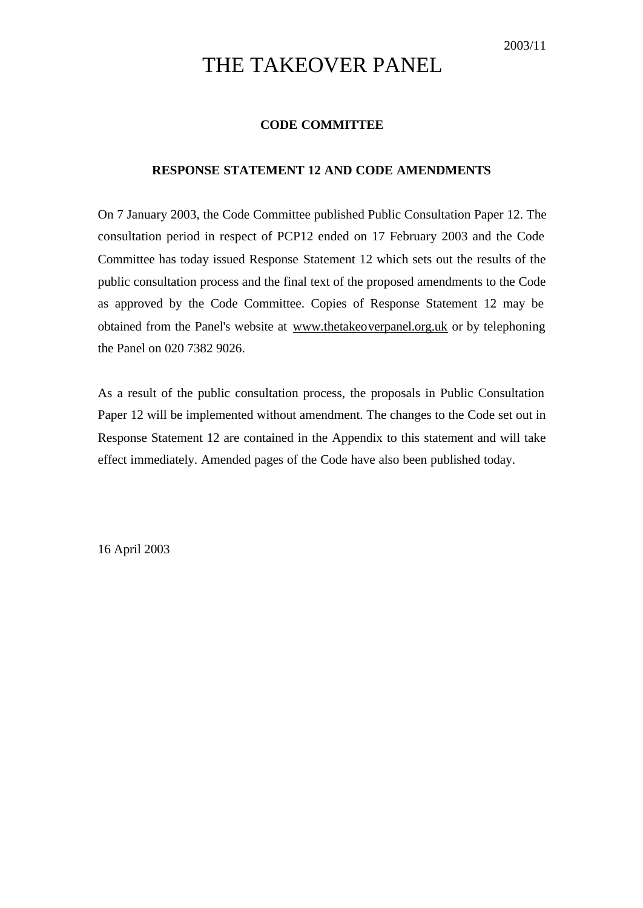# THE TAKEOVER PANEL

# **CODE COMMITTEE**

## **RESPONSE STATEMENT 12 AND CODE AMENDMENTS**

On 7 January 2003, the Code Committee published Public Consultation Paper 12. The consultation period in respect of PCP12 ended on 17 February 2003 and the Code Committee has today issued Response Statement 12 which sets out the results of the public consultation process and the final text of the proposed amendments to the Code as approved by the Code Committee. Copies of Response Statement 12 may be obtained from the Panel's website at www.thetakeoverpanel.org.uk or by telephoning the Panel on 020 7382 9026.

As a result of the public consultation process, the proposals in Public Consultation Paper 12 will be implemented without amendment. The changes to the Code set out in Response Statement 12 are contained in the Appendix to this statement and will take effect immediately. Amended pages of the Code have also been published today.

16 April 2003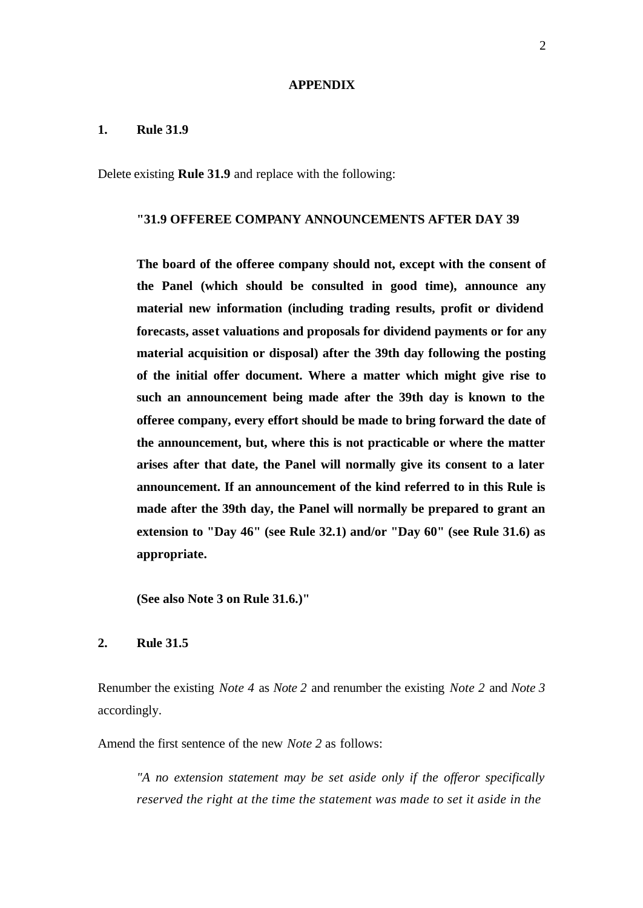#### **APPENDIX**

#### **1. Rule 31.9**

Delete existing **Rule 31.9** and replace with the following:

## **"31.9 OFFEREE COMPANY ANNOUNCEMENTS AFTER DAY 39**

**The board of the offeree company should not, except with the consent of the Panel (which should be consulted in good time), announce any material new information (including trading results, profit or dividend forecasts, asset valuations and proposals for dividend payments or for any material acquisition or disposal) after the 39th day following the posting of the initial offer document. Where a matter which might give rise to such an announcement being made after the 39th day is known to the offeree company, every effort should be made to bring forward the date of the announcement, but, where this is not practicable or where the matter arises after that date, the Panel will normally give its consent to a later announcement. If an announcement of the kind referred to in this Rule is made after the 39th day, the Panel will normally be prepared to grant an extension to "Day 46" (see Rule 32.1) and/or "Day 60" (see Rule 31.6) as appropriate.**

**(See also Note 3 on Rule 31.6.)"**

# **2. Rule 31.5**

Renumber the existing *Note 4* as *Note 2* and renumber the existing *Note 2* and *Note 3*  accordingly.

Amend the first sentence of the new *Note 2* as follows:

*"A no extension statement may be set aside only if the offeror specifically reserved the right at the time the statement was made to set it aside in the*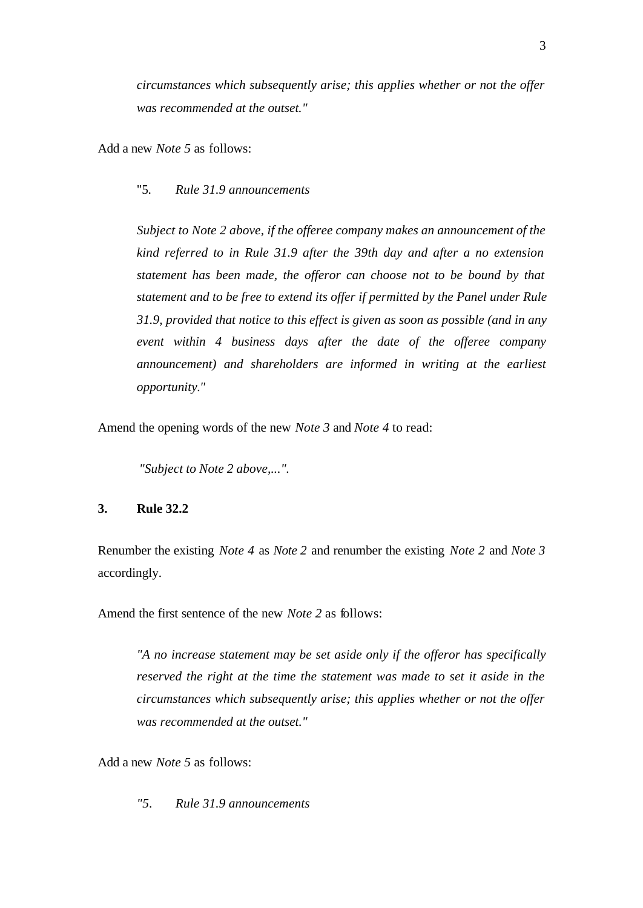*circumstances which subsequently arise; this applies whether or not the offer was recommended at the outset."*

Add a new *Note 5* as follows:

## "5. *Rule 31.9 announcements*

*Subject to Note 2 above, if the offeree company makes an announcement of the kind referred to in Rule 31.9 after the 39th day and after a no extension statement has been made, the offeror can choose not to be bound by that statement and to be free to extend its offer if permitted by the Panel under Rule 31.9, provided that notice to this effect is given as soon as possible (and in any event within 4 business days after the date of the offeree company announcement) and shareholders are informed in writing at the earliest opportunity."*

Amend the opening words of the new *Note 3* and *Note 4* to read:

*"Subject to Note 2 above,...".*

#### **3. Rule 32.2**

Renumber the existing *Note 4* as *Note 2* and renumber the existing *Note 2* and *Note 3*  accordingly.

Amend the first sentence of the new *Note 2* as follows:

*"A no increase statement may be set aside only if the offeror has specifically reserved the right at the time the statement was made to set it aside in the circumstances which subsequently arise; this applies whether or not the offer was recommended at the outset."*

Add a new *Note 5* as follows:

*"5. Rule 31.9 announcements*